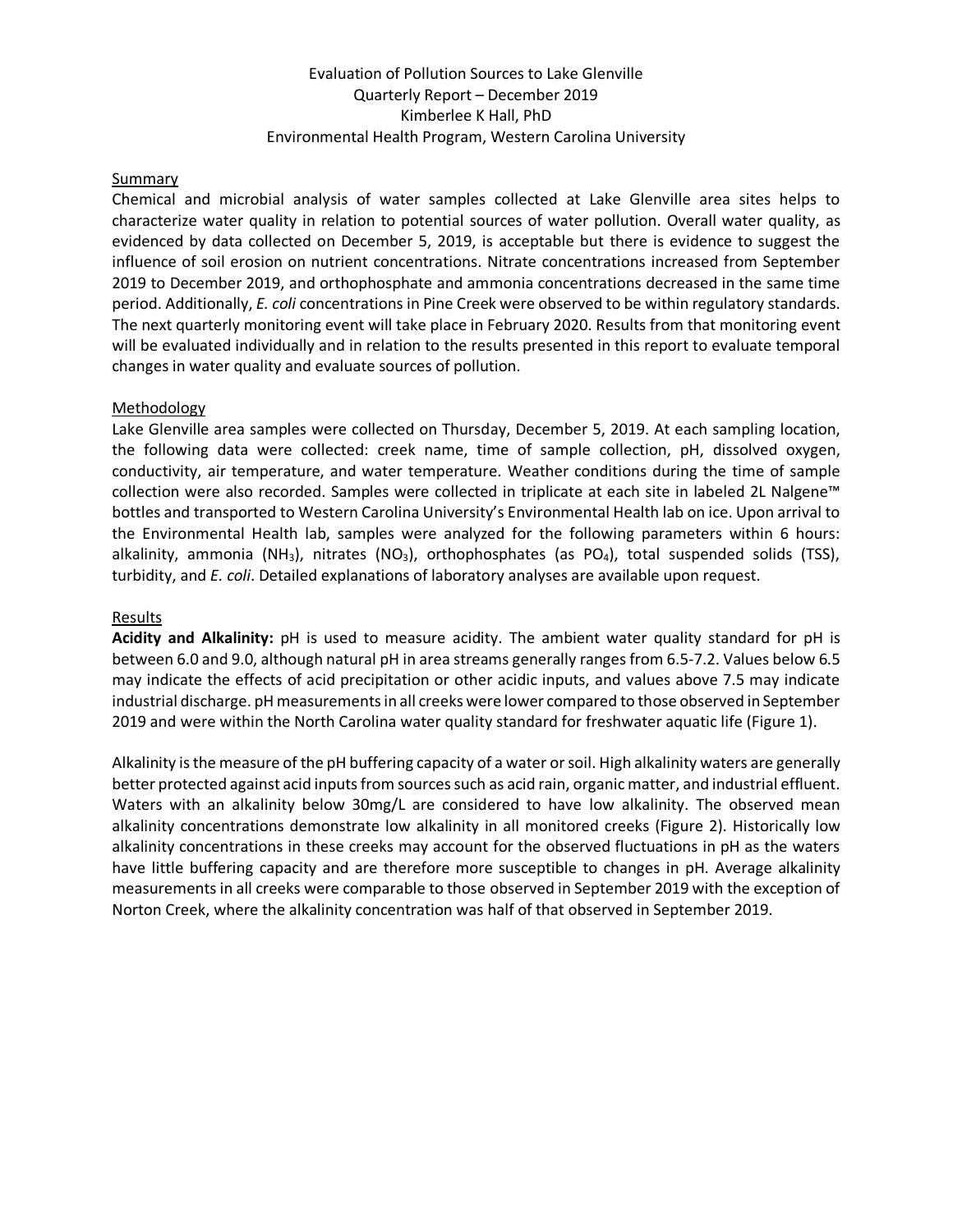# Evaluation of Pollution Sources to Lake Glenville Quarterly Report – December 2019 Kimberlee K Hall, PhD Environmental Health Program, Western Carolina University

# **Summary**

Chemical and microbial analysis of water samples collected at Lake Glenville area sites helps to characterize water quality in relation to potential sources of water pollution. Overall water quality, as evidenced by data collected on December 5, 2019, is acceptable but there is evidence to suggest the influence of soil erosion on nutrient concentrations. Nitrate concentrations increased from September 2019 to December 2019, and orthophosphate and ammonia concentrations decreased in the same time period. Additionally, *E. coli* concentrations in Pine Creek were observed to be within regulatory standards. The next quarterly monitoring event will take place in February 2020. Results from that monitoring event will be evaluated individually and in relation to the results presented in this report to evaluate temporal changes in water quality and evaluate sources of pollution.

# Methodology

Lake Glenville area samples were collected on Thursday, December 5, 2019. At each sampling location, the following data were collected: creek name, time of sample collection, pH, dissolved oxygen, conductivity, air temperature, and water temperature. Weather conditions during the time of sample collection were also recorded. Samples were collected in triplicate at each site in labeled 2L Nalgene™ bottles and transported to Western Carolina University's Environmental Health lab on ice. Upon arrival to the Environmental Health lab, samples were analyzed for the following parameters within 6 hours: alkalinity, ammonia (NH<sub>3</sub>), nitrates (NO<sub>3</sub>), orthophosphates (as PO<sub>4</sub>), total suspended solids (TSS), turbidity, and *E. coli*. Detailed explanations of laboratory analyses are available upon request.

#### Results

**Acidity and Alkalinity:** pH is used to measure acidity. The ambient water quality standard for pH is between 6.0 and 9.0, although natural pH in area streams generally ranges from 6.5-7.2. Values below 6.5 may indicate the effects of acid precipitation or other acidic inputs, and values above 7.5 may indicate industrial discharge. pH measurements in all creeks were lower compared to those observed in September 2019 and were within the North Carolina water quality standard for freshwater aquatic life (Figure 1).

Alkalinity is the measure of the pH buffering capacity of a water or soil. High alkalinity waters are generally better protected against acid inputs from sources such as acid rain, organic matter, and industrial effluent. Waters with an alkalinity below 30mg/L are considered to have low alkalinity. The observed mean alkalinity concentrations demonstrate low alkalinity in all monitored creeks (Figure 2). Historically low alkalinity concentrations in these creeks may account for the observed fluctuations in pH as the waters have little buffering capacity and are therefore more susceptible to changes in pH. Average alkalinity measurements in all creeks were comparable to those observed in September 2019 with the exception of Norton Creek, where the alkalinity concentration was half of that observed in September 2019.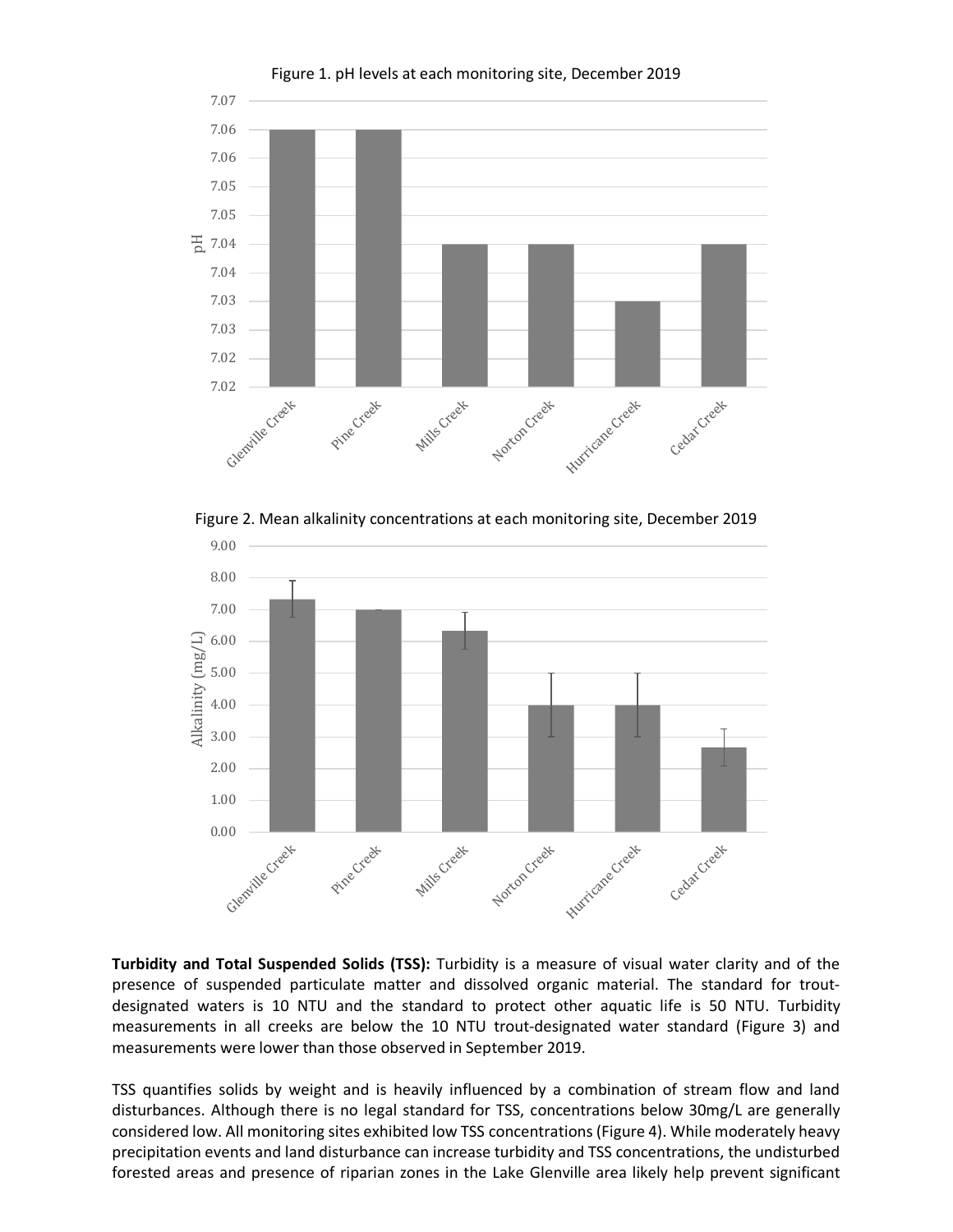

Figure 2. Mean alkalinity concentrations at each monitoring site, December 2019



**Turbidity and Total Suspended Solids (TSS):** Turbidity is a measure of visual water clarity and of the presence of suspended particulate matter and dissolved organic material. The standard for troutdesignated waters is 10 NTU and the standard to protect other aquatic life is 50 NTU. Turbidity measurements in all creeks are below the 10 NTU trout-designated water standard (Figure 3) and measurements were lower than those observed in September 2019.

TSS quantifies solids by weight and is heavily influenced by a combination of stream flow and land disturbances. Although there is no legal standard for TSS, concentrations below 30mg/L are generally considered low. All monitoring sites exhibited low TSS concentrations (Figure 4). While moderately heavy precipitation events and land disturbance can increase turbidity and TSS concentrations, the undisturbed forested areas and presence of riparian zones in the Lake Glenville area likely help prevent significant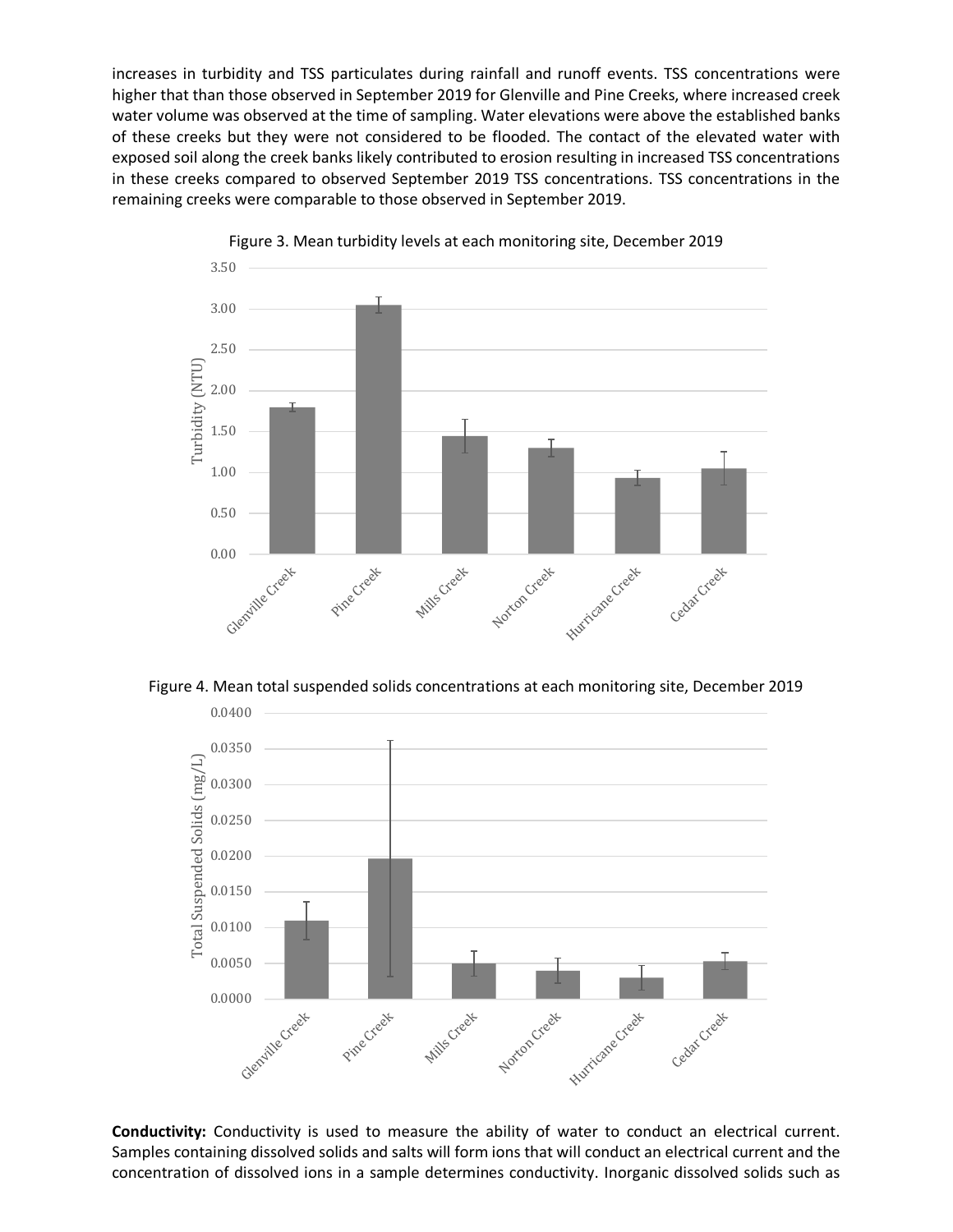increases in turbidity and TSS particulates during rainfall and runoff events. TSS concentrations were higher that than those observed in September 2019 for Glenville and Pine Creeks, where increased creek water volume was observed at the time of sampling. Water elevations were above the established banks of these creeks but they were not considered to be flooded. The contact of the elevated water with exposed soil along the creek banks likely contributed to erosion resulting in increased TSS concentrations in these creeks compared to observed September 2019 TSS concentrations. TSS concentrations in the remaining creeks were comparable to those observed in September 2019.



Figure 3. Mean turbidity levels at each monitoring site, December 2019

Figure 4. Mean total suspended solids concentrations at each monitoring site, December 2019



**Conductivity:** Conductivity is used to measure the ability of water to conduct an electrical current. Samples containing dissolved solids and salts will form ions that will conduct an electrical current and the concentration of dissolved ions in a sample determines conductivity. Inorganic dissolved solids such as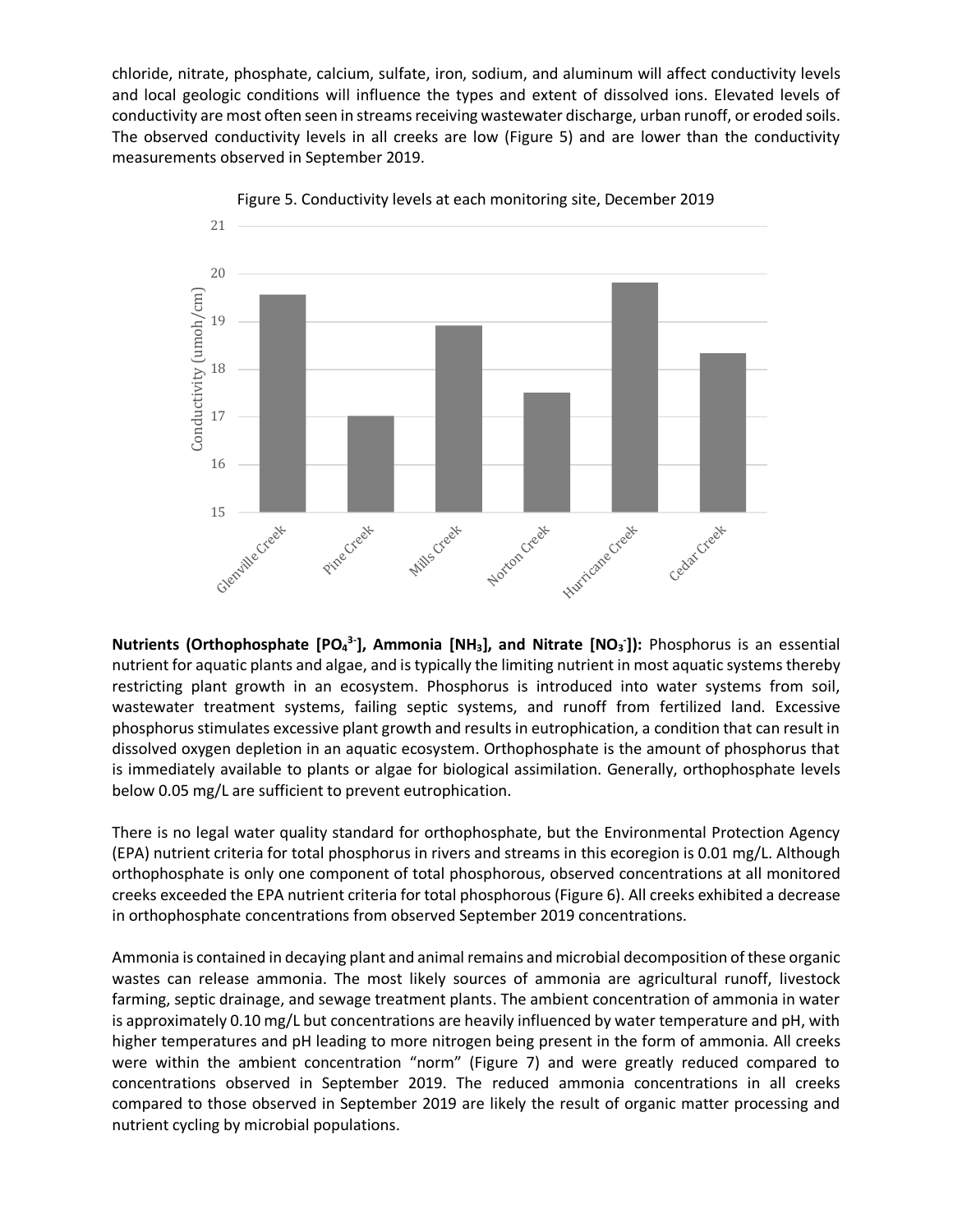chloride, nitrate, phosphate, calcium, sulfate, iron, sodium, and aluminum will affect conductivity levels and local geologic conditions will influence the types and extent of dissolved ions. Elevated levels of conductivity are most often seen in streams receiving wastewater discharge, urban runoff, or eroded soils. The observed conductivity levels in all creeks are low (Figure 5) and are lower than the conductivity measurements observed in September 2019.



Figure 5. Conductivity levels at each monitoring site, December 2019

**Nutrients (Orthophosphate [PO<sub>4</sub><sup>3-</sup>], Ammonia [NH<sub>3</sub>], and Nitrate [NO<sub>3</sub><sup>-</sup>]): Phosphorus is an essential** nutrient for aquatic plants and algae, and is typically the limiting nutrient in most aquatic systems thereby restricting plant growth in an ecosystem. Phosphorus is introduced into water systems from soil, wastewater treatment systems, failing septic systems, and runoff from fertilized land. Excessive phosphorus stimulates excessive plant growth and results in eutrophication, a condition that can result in dissolved oxygen depletion in an aquatic ecosystem. Orthophosphate is the amount of phosphorus that is immediately available to plants or algae for biological assimilation. Generally, orthophosphate levels below 0.05 mg/L are sufficient to prevent eutrophication.

There is no legal water quality standard for orthophosphate, but the Environmental Protection Agency (EPA) nutrient criteria for total phosphorus in rivers and streams in this ecoregion is 0.01 mg/L. Although orthophosphate is only one component of total phosphorous, observed concentrations at all monitored creeks exceeded the EPA nutrient criteria for total phosphorous (Figure 6). All creeks exhibited a decrease in orthophosphate concentrations from observed September 2019 concentrations.

Ammonia is contained in decaying plant and animal remains and microbial decomposition of these organic wastes can release ammonia. The most likely sources of ammonia are agricultural runoff, livestock farming, septic drainage, and sewage treatment plants. The ambient concentration of ammonia in water is approximately 0.10 mg/L but concentrations are heavily influenced by water temperature and pH, with higher temperatures and pH leading to more nitrogen being present in the form of ammonia. All creeks were within the ambient concentration "norm" (Figure 7) and were greatly reduced compared to concentrations observed in September 2019. The reduced ammonia concentrations in all creeks compared to those observed in September 2019 are likely the result of organic matter processing and nutrient cycling by microbial populations.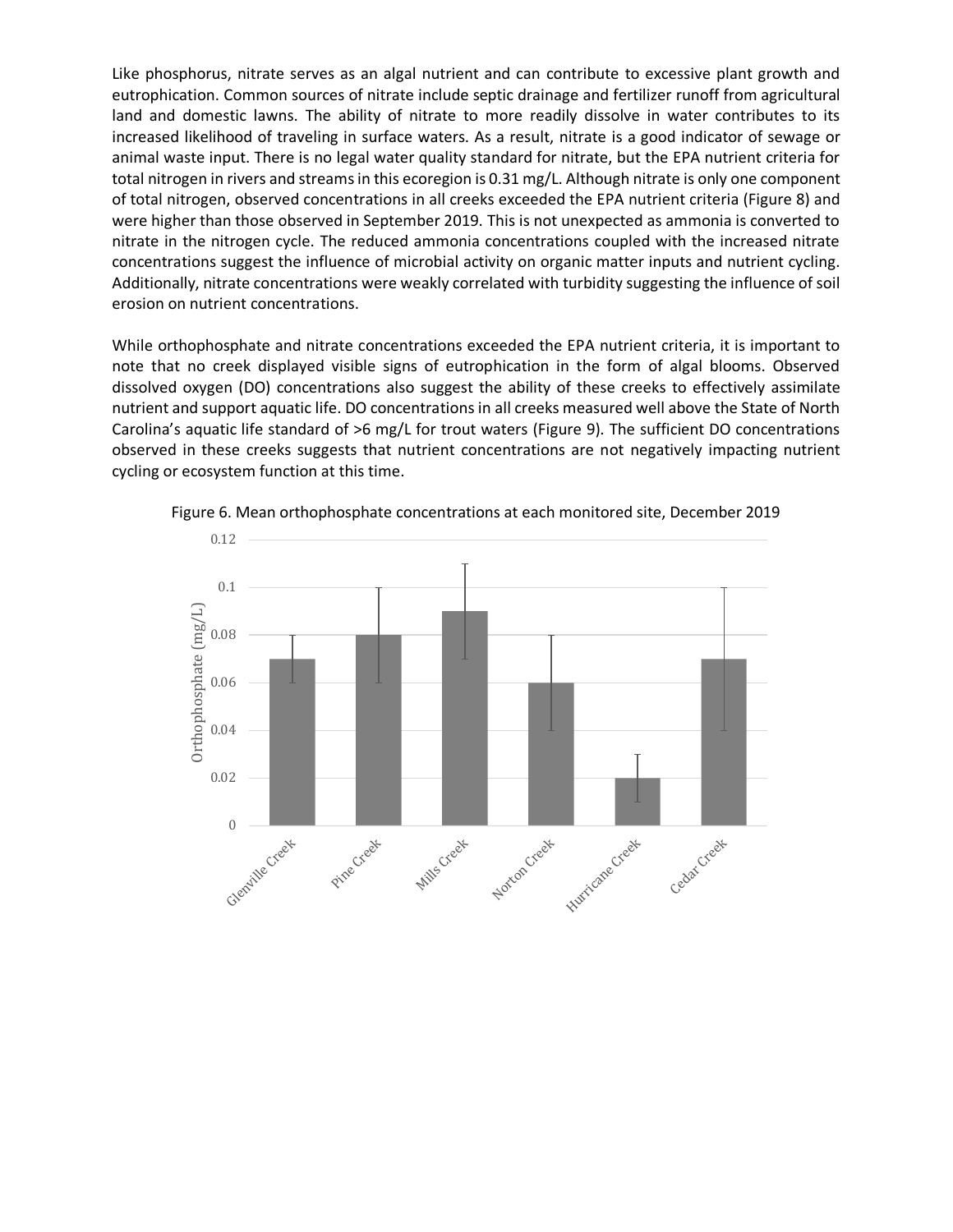Like phosphorus, nitrate serves as an algal nutrient and can contribute to excessive plant growth and eutrophication. Common sources of nitrate include septic drainage and fertilizer runoff from agricultural land and domestic lawns. The ability of nitrate to more readily dissolve in water contributes to its increased likelihood of traveling in surface waters. As a result, nitrate is a good indicator of sewage or animal waste input. There is no legal water quality standard for nitrate, but the EPA nutrient criteria for total nitrogen in rivers and streams in this ecoregion is 0.31 mg/L. Although nitrate is only one component of total nitrogen, observed concentrations in all creeks exceeded the EPA nutrient criteria (Figure 8) and were higher than those observed in September 2019. This is not unexpected as ammonia is converted to nitrate in the nitrogen cycle. The reduced ammonia concentrations coupled with the increased nitrate concentrations suggest the influence of microbial activity on organic matter inputs and nutrient cycling. Additionally, nitrate concentrations were weakly correlated with turbidity suggesting the influence of soil erosion on nutrient concentrations.

While orthophosphate and nitrate concentrations exceeded the EPA nutrient criteria, it is important to note that no creek displayed visible signs of eutrophication in the form of algal blooms. Observed dissolved oxygen (DO) concentrations also suggest the ability of these creeks to effectively assimilate nutrient and support aquatic life. DO concentrations in all creeks measured well above the State of North Carolina's aquatic life standard of >6 mg/L for trout waters (Figure 9). The sufficient DO concentrations observed in these creeks suggests that nutrient concentrations are not negatively impacting nutrient cycling or ecosystem function at this time.



Figure 6. Mean orthophosphate concentrations at each monitored site, December 2019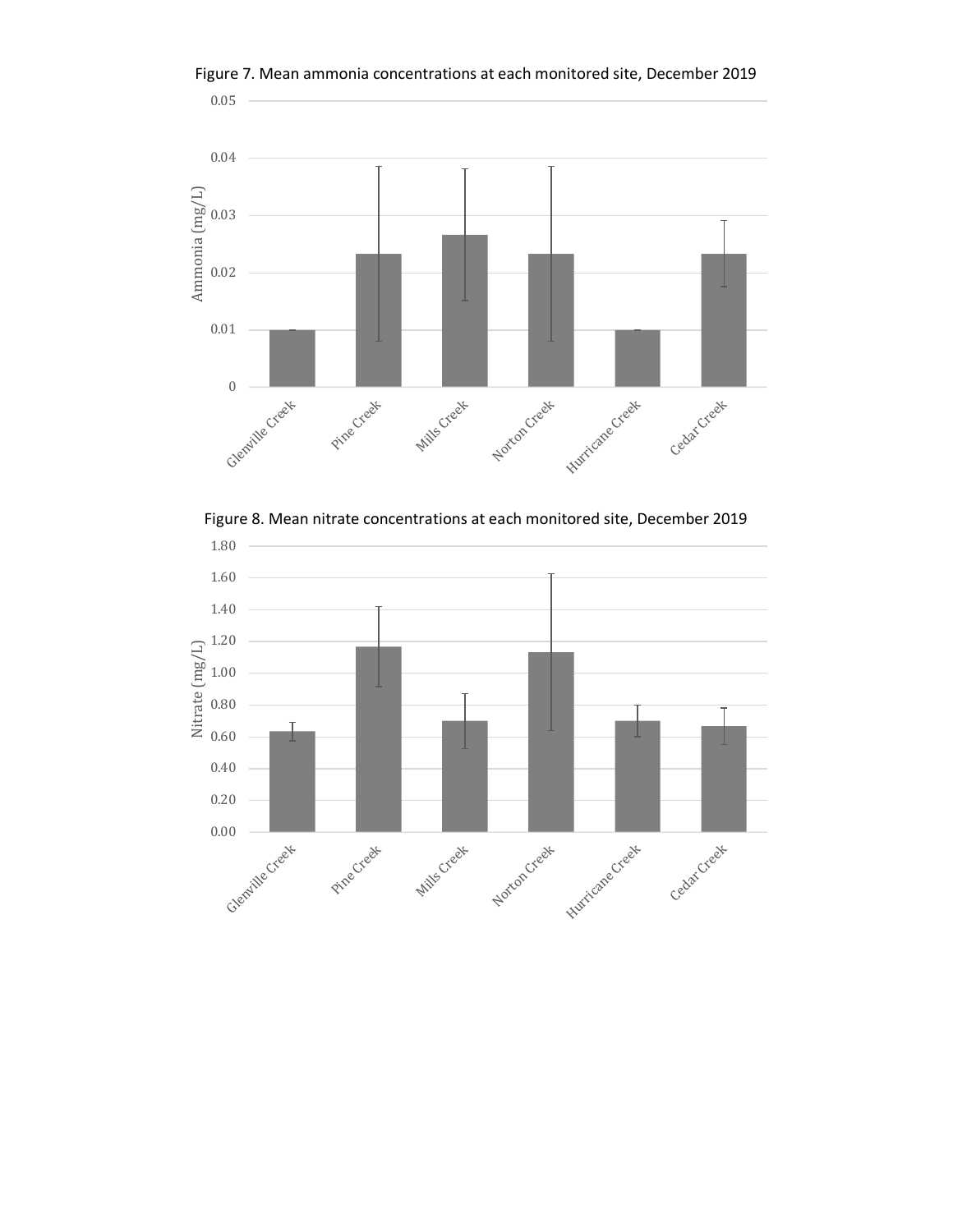

Figure 7. Mean ammonia concentrations at each monitored site, December 2019

Figure 8. Mean nitrate concentrations at each monitored site, December 2019

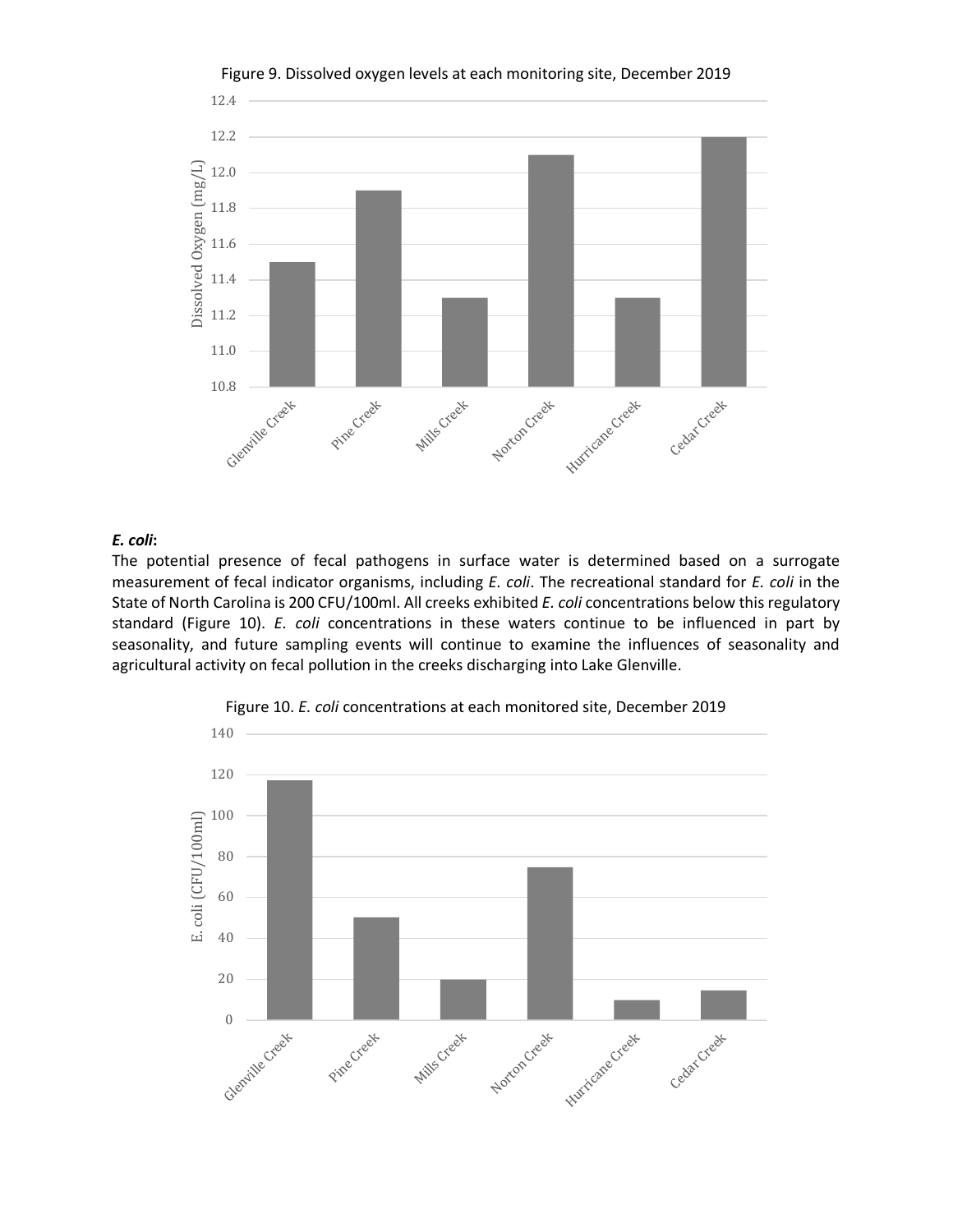

Figure 9. Dissolved oxygen levels at each monitoring site, December 2019

# *E. coli***:**

The potential presence of fecal pathogens in surface water is determined based on a surrogate measurement of fecal indicator organisms, including *E. coli*. The recreational standard for *E. coli* in the State of North Carolina is 200 CFU/100ml. All creeks exhibited *E. coli* concentrations below this regulatory standard (Figure 10). *E. coli* concentrations in these waters continue to be influenced in part by seasonality, and future sampling events will continue to examine the influences of seasonality and agricultural activity on fecal pollution in the creeks discharging into Lake Glenville.



Figure 10. *E. coli* concentrations at each monitored site, December 2019